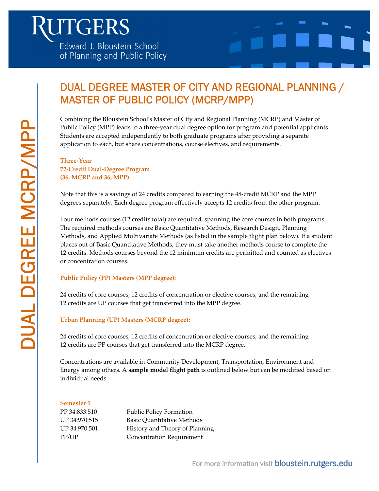## DUAL DEGREE MASTER OF CITY AND REGIONAL PLANNING / MASTER OF PUBLIC POLICY (MCRP/MPP)

Combining the Bloustein Schoolʹs Master of City and Regional Planning (MCRP) and Master of Public Policy (MPP) leads to a three‐year dual degree option for program and potential applicants. Students are accepted independently to both graduate programs after providing a separate application to each, but share concentrations, course electives, and requirements.

### **Three‐Year 72‐Credit Dual‐Degree Program (36, MCRP and 36, MPP)**

Note that this is a savings of 24 credits compared to earning the 48‐credit MCRP and the MPP degrees separately. Each degree program effectively accepts 12 credits from the other program.

Combining the Bloosteric School Maters on City and Regional Thursing (MCRI) and store and degree option for program and potential applications competed independently to both graduate properties and requirements.<br>
specifica Four methods courses (12 credits total) are required, spanning the core courses in both programs. The required methods courses are Basic Quantitative Methods, Research Design, Planning Methods, and Applied Multivariate Methods (as listed in the sample flight plan below). If a student places out of Basic Quantitative Methods, they must take another methods course to complete the 12 credits. Methods courses beyond the 12 minimum credits are permitted and counted as electives or concentration courses.

### **Public Policy (PP) Masters (MPP degree):**

24 credits of core courses; 12 credits of concentration or elective courses, and the remaining 12 credits are UP courses that get transferred into the MPP degree.

### **Urban Planning (UP) Masters (MCRP degree):**

24 credits of core courses, 12 credits of concentration or elective courses, and the remaining 12 credits are PP courses that get transferred into the MCRP degree.

Concentrations are available in Community Development, Transportation, Environment and Energy among others. A **sample model flight path** is outlined below but can be modified based on individual needs:

#### **Semester 1**

| PP 34:833:510 | <b>Public Policy Formation</b>    |
|---------------|-----------------------------------|
| UP 34:970:515 | <b>Basic Quantitative Methods</b> |
| UP 34:970:501 | History and Theory of Planning    |
| PP/UP         | <b>Concentration Requirement</b>  |
|               |                                   |